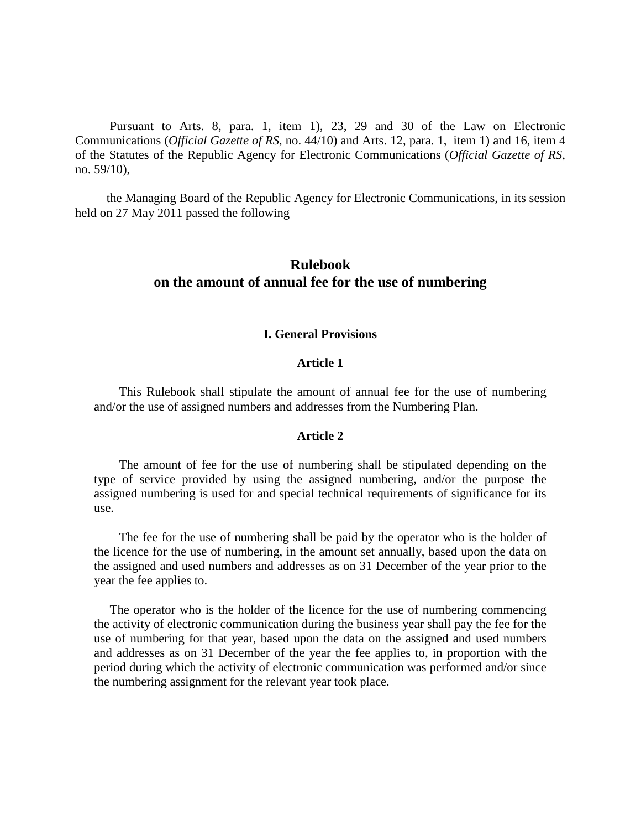Pursuant to Arts. 8, para. 1, item 1), 23, 29 and 30 of the Law on Electronic Communications (*Official Gazette of RS*, no. 44/10) and Arts. 12, para. 1, item 1) and 16, item 4 of the Statutes of the Republic Agency for Electronic Communications (*Official Gazette of RS*, no. 59/10),

 the Managing Board of the Republic Agency for Electronic Communications, in its session held on 27 May 2011 passed the following

# **Rulebook on the amount of annual fee for the use of numbering**

#### **I. General Provisions**

## **Article 1**

 This Rulebook shall stipulate the amount of annual fee for the use of numbering and/or the use of assigned numbers and addresses from the Numbering Plan.

#### **Article 2**

 The amount of fee for the use of numbering shall be stipulated depending on the type of service provided by using the assigned numbering, and/or the purpose the assigned numbering is used for and special technical requirements of significance for its use.

 The fee for the use of numbering shall be paid by the operator who is the holder of the licence for the use of numbering, in the amount set annually, based upon the data on the assigned and used numbers and addresses as on 31 December of the year prior to the year the fee applies to.

 The operator who is the holder of the licence for the use of numbering commencing the activity of electronic communication during the business year shall pay the fee for the use of numbering for that year, based upon the data on the assigned and used numbers and addresses as on 31 December of the year the fee applies to, in proportion with the period during which the activity of electronic communication was performed and/or since the numbering assignment for the relevant year took place.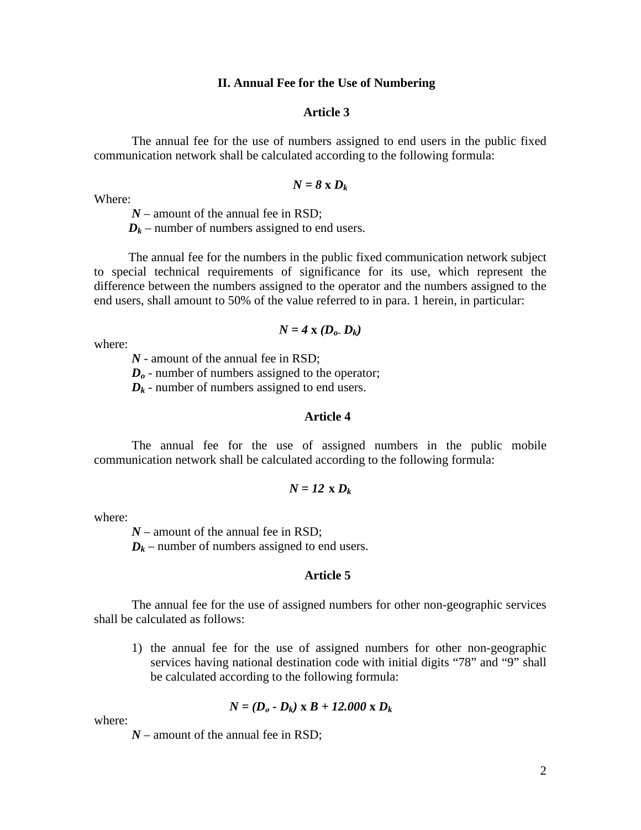#### **II. Annual Fee for the Use of Numbering**

#### **Article 3**

 The annual fee for the use of numbers assigned to end users in the public fixed communication network shall be calculated according to the following formula:

$$
N=8\ \mathrm{x}\ D_k
$$

Where:

*N* – amount of the annual fee in RSD;

 $D_k$  – number of numbers assigned to end users.

 The annual fee for the numbers in the public fixed communication network subject to special technical requirements of significance for its use, which represent the difference between the numbers assigned to the operator and the numbers assigned to the end users, shall amount to 50% of the value referred to in para. 1 herein, in particular:

## $N = 4$ **x**  $(D_0, D_k)$

where:

*N* - amount of the annual fee in RSD;

*D<sub>o</sub>* - number of numbers assigned to the operator;

 $D_k$  - number of numbers assigned to end users.

# **Article 4**

 The annual fee for the use of assigned numbers in the public mobile communication network shall be calculated according to the following formula:

$$
N=12 \times D_k
$$

where:

*N* – amount of the annual fee in RSD;

 $D_k$  – number of numbers assigned to end users.

#### **Article 5**

The annual fee for the use of assigned numbers for other non-geographic services shall be calculated as follows:

1) the annual fee for the use of assigned numbers for other non-geographic services having national destination code with initial digits "78" and "9" shall be calculated according to the following formula:

$$
N = (D_o - D_k) \times B + 12.000 \times D_k
$$

where:

 $N$  – amount of the annual fee in RSD;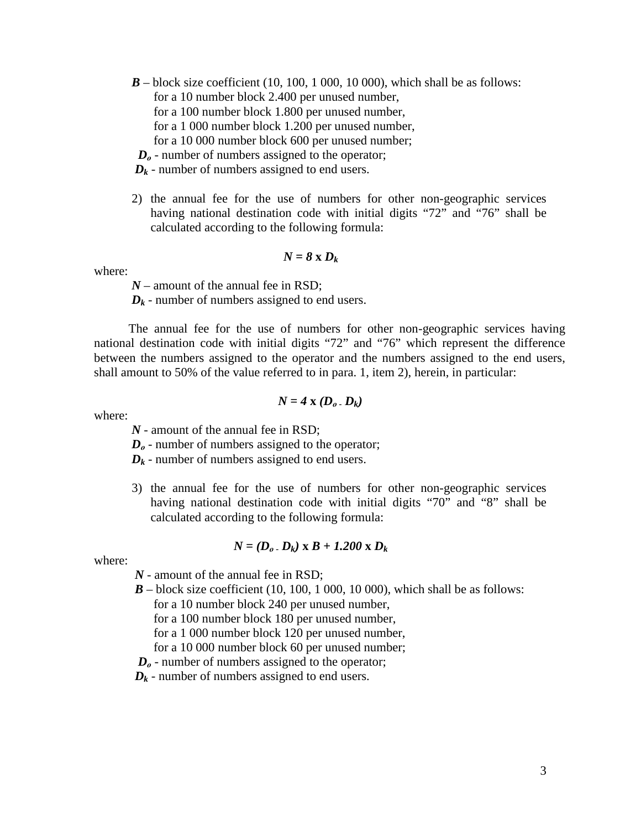- $\mathbf{B}$  block size coefficient (10, 100, 1 000, 10 000), which shall be as follows: for a 10 number block 2.400 per unused number, for a 100 number block 1.800 per unused number, for a 1 000 number block 1.200 per unused number, for a 10 000 number block 600 per unused number;
- $D<sub>o</sub>$  number of numbers assigned to the operator;
- $D_k$  number of numbers assigned to end users.
- 2) the annual fee for the use of numbers for other non-geographic services having national destination code with initial digits "72" and "76" shall be calculated according to the following formula:

$$
N=8\ \mathrm{x}\ D_k
$$

where:

*N* – amount of the annual fee in RSD;

 $D_k$  - number of numbers assigned to end users.

 The annual fee for the use of numbers for other non-geographic services having national destination code with initial digits "72" and "76" which represent the difference between the numbers assigned to the operator and the numbers assigned to the end users, shall amount to 50% of the value referred to in para. 1, item 2), herein, in particular:

$$
N=4\mathbf{X}\left(D_o,D_k\right)
$$

where:

*N* - amount of the annual fee in RSD;

*D*<sup> $o$ </sup> - number of numbers assigned to the operator;

 $D_k$  - number of numbers assigned to end users.

3) the annual fee for the use of numbers for other non-geographic services having national destination code with initial digits "70" and "8" shall be calculated according to the following formula:

$$
N = (D_o \cdot D_k) \times B + 1.200 \times D_k
$$

where:

*N* - amount of the annual fee in RSD;

 $\mathbf{B}$  – block size coefficient (10, 100, 1 000, 10 000), which shall be as follows:

for a 10 number block 240 per unused number,

for a 100 number block 180 per unused number,

for a 1 000 number block 120 per unused number,

for a 10 000 number block 60 per unused number;

 $D<sub>o</sub>$  - number of numbers assigned to the operator;

 $D_k$  - number of numbers assigned to end users.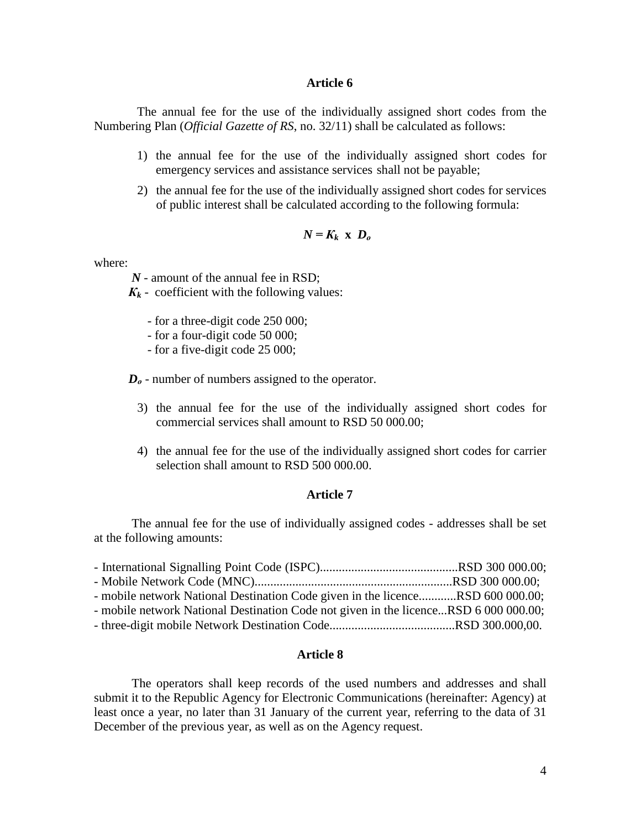## **Article 6**

 The annual fee for the use of the individually assigned short codes from the Numbering Plan (*Official Gazette of RS*, no. 32/11) shall be calculated as follows:

- 1) the annual fee for the use of the individually assigned short codes for emergency services and assistance services shall not be payable;
- 2) the annual fee for the use of the individually assigned short codes for services of public interest shall be calculated according to the following formula:

$$
N = K_k \times D_o
$$

where:

*N* - amount of the annual fee in RSD;

 $K_k$  - coefficient with the following values:

- for a three-digit code 250 000;
- for a four-digit code 50 000;
- for a five-digit code 25 000;

*D*<sup> $o$ </sup> - number of numbers assigned to the operator.

- 3) the annual fee for the use of the individually assigned short codes for commercial services shall amount to RSD 50 000.00;
- 4) the annual fee for the use of the individually assigned short codes for carrier selection shall amount to RSD 500 000.00.

## **Article 7**

The annual fee for the use of individually assigned codes - addresses shall be set at the following amounts:

| - mobile network National Destination Code given in the licenceRSD 600 000.00;       |  |
|--------------------------------------------------------------------------------------|--|
| - mobile network National Destination Code not given in the licenceRSD 6 000 000.00; |  |
|                                                                                      |  |

#### **Article 8**

The operators shall keep records of the used numbers and addresses and shall submit it to the Republic Agency for Electronic Communications (hereinafter: Agency) at least once a year, no later than 31 January of the current year, referring to the data of 31 December of the previous year, as well as on the Agency request.